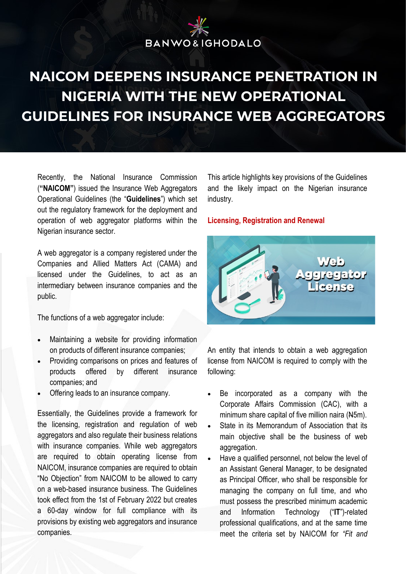# **BANWO&IGHODALO**

# **NAICOM DEEPENS INSURANCE PENETRATION IN NIGERIA WITH THE NEW OPERATIONAL GUIDELINES FOR INSURANCE WEB AGGREGATORS**

Recently, the National Insurance Commission (**"NAICOM"**) issued the Insurance Web Aggregators Operational Guidelines (the "**Guidelines**") which set out the regulatory framework for the deployment and operation of web aggregator platforms within the Nigerian insurance sector.

A web aggregator is a company registered under the Companies and Allied Matters Act (CAMA) and licensed under the Guidelines, to act as an intermediary between insurance companies and the public.

The functions of a web aggregator include:

- Maintaining a website for providing information on products of different insurance companies;
- Providing comparisons on prices and features of products offered by different insurance companies; and
- Offering leads to an insurance company.

Essentially, the Guidelines provide a framework for the licensing, registration and regulation of web aggregators and also regulate their business relations with insurance companies. While web aggregators are required to obtain operating license from NAICOM, insurance companies are required to obtain "No Objection" from NAICOM to be allowed to carry on a web-based insurance business. The Guidelines took effect from the 1st of February 2022 but creates a 60-day window for full compliance with its provisions by existing web aggregators and insurance companies.

This article highlights key provisions of the Guidelines and the likely impact on the Nigerian insurance industry.

### **Licensing, Registration and Renewal**



An entity that intends to obtain a web aggregation license from NAICOM is required to comply with the following:

- Be incorporated as a company with the Corporate Affairs Commission (CAC), with a minimum share capital of five million naira (N5m).
- State in its Memorandum of Association that its main objective shall be the business of web aggregation.
- Have a qualified personnel, not below the level of an Assistant General Manager, to be designated as Principal Officer, who shall be responsible for managing the company on full time, and who must possess the prescribed minimum academic and Information Technology ("**IT**")-related professional qualifications, and at the same time meet the criteria set by NAICOM for *"Fit and*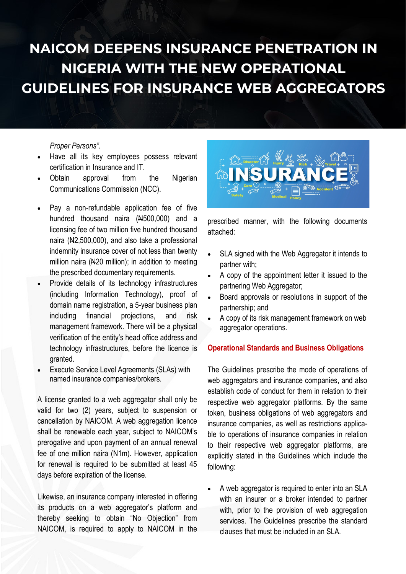### *Proper Persons"*.

- Have all its key employees possess relevant certification in Insurance and IT.
- Obtain approval from the Nigerian Communications Commission (NCC).
- Pay a non-refundable application fee of five hundred thousand naira (N500,000) and a licensing fee of two million five hundred thousand naira (N2,500,000), and also take a professional indemnity insurance cover of not less than twenty million naira (N20 million); in addition to meeting the prescribed documentary requirements.
- Provide details of its technology infrastructures (including Information Technology), proof of domain name registration, a 5-year business plan including financial projections, and risk management framework. There will be a physical verification of the entity's head office address and technology infrastructures, before the licence is granted.
- Execute Service Level Agreements (SLAs) with named insurance companies/brokers.

A license granted to a web aggregator shall only be valid for two (2) years, subject to suspension or cancellation by NAICOM. A web aggregation licence shall be renewable each year, subject to NAICOM's prerogative and upon payment of an annual renewal fee of one million naira (N1m). However, application for renewal is required to be submitted at least 45 days before expiration of the license.

Likewise, an insurance company interested in offering its products on a web aggregator's platform and thereby seeking to obtain "No Objection" from NAICOM, is required to apply to NAICOM in the



prescribed manner, with the following documents attached:

- SLA signed with the Web Aggregator it intends to partner with;
- A copy of the appointment letter it issued to the partnering Web Aggregator;
- Board approvals or resolutions in support of the partnership; and
- A copy of its risk management framework on web aggregator operations.

### **Operational Standards and Business Obligations**

The Guidelines prescribe the mode of operations of web aggregators and insurance companies, and also establish code of conduct for them in relation to their respective web aggregator platforms. By the same token, business obligations of web aggregators and insurance companies, as well as restrictions applicable to operations of insurance companies in relation to their respective web aggregator platforms, are explicitly stated in the Guidelines which include the following:

• A web aggregator is required to enter into an SLA with an insurer or a broker intended to partner with, prior to the provision of web aggregation services. The Guidelines prescribe the standard clauses that must be included in an SLA.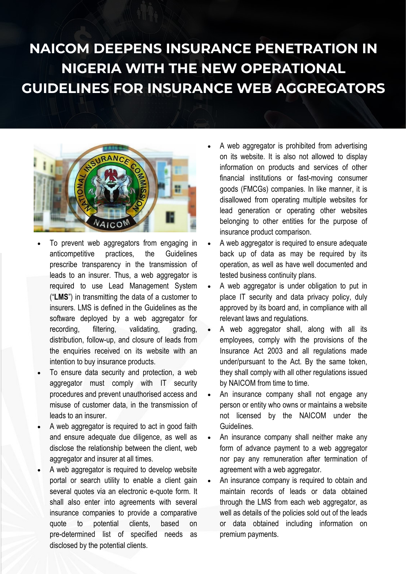

- To prevent web aggregators from engaging in anticompetitive practices, the Guidelines prescribe transparency in the transmission of leads to an insurer. Thus, a web aggregator is required to use Lead Management System ("**LMS**") in transmitting the data of a customer to insurers. LMS is defined in the Guidelines as the software deployed by a web aggregator for recording, filtering, validating, grading, distribution, follow-up, and closure of leads from the enquiries received on its website with an intention to buy insurance products.
- To ensure data security and protection, a web aggregator must comply with IT security procedures and prevent unauthorised access and misuse of customer data, in the transmission of leads to an insurer.
- A web aggregator is required to act in good faith and ensure adequate due diligence, as well as disclose the relationship between the client, web aggregator and insurer at all times.
- A web aggregator is required to develop website portal or search utility to enable a client gain several quotes via an electronic e-quote form. It shall also enter into agreements with several insurance companies to provide a comparative quote to potential clients, based on pre-determined list of specified needs as disclosed by the potential clients.
- A web aggregator is prohibited from advertising on its website. It is also not allowed to display information on products and services of other financial institutions or fast-moving consumer goods (FMCGs) companies. In like manner, it is disallowed from operating multiple websites for lead generation or operating other websites belonging to other entities for the purpose of insurance product comparison.
- A web aggregator is required to ensure adequate back up of data as may be required by its operation, as well as have well documented and tested business continuity plans.
- A web aggregator is under obligation to put in place IT security and data privacy policy, duly approved by its board and, in compliance with all relevant laws and regulations.
- A web aggregator shall, along with all its employees, comply with the provisions of the Insurance Act 2003 and all regulations made under/pursuant to the Act. By the same token, they shall comply with all other regulations issued by NAICOM from time to time.
- An insurance company shall not engage any person or entity who owns or maintains a website not licensed by the NAICOM under the Guidelines.
- An insurance company shall neither make any form of advance payment to a web aggregator nor pay any remuneration after termination of agreement with a web aggregator.
- An insurance company is required to obtain and maintain records of leads or data obtained through the LMS from each web aggregator, as well as details of the policies sold out of the leads or data obtained including information on premium payments.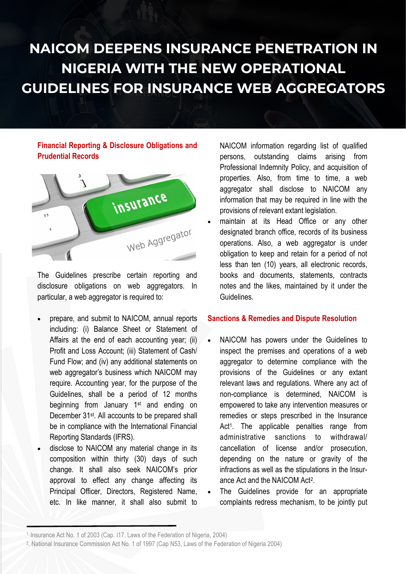### **Financial Reporting & Disclosure Obligations and Prudential Records**



The Guidelines prescribe certain reporting and disclosure obligations on web aggregators. In particular, a web aggregator is required to:

- prepare, and submit to NAICOM, annual reports including: (i) Balance Sheet or Statement of Affairs at the end of each accounting year; (ii) Profit and Loss Account; (iii) Statement of Cash/ Fund Flow; and (iv) any additional statements on web aggregator's business which NAICOM may require. Accounting year, for the purpose of the Guidelines, shall be a period of 12 months beginning from January 1<sup>st</sup> and ending on December 31st. All accounts to be prepared shall be in compliance with the International Financial Reporting Standards (IFRS).
- disclose to NAICOM any material change in its composition within thirty (30) days of such change. It shall also seek NAICOM's prior approval to effect any change affecting its Principal Officer, Directors, Registered Name, etc. In like manner, it shall also submit to

NAICOM information regarding list of qualified persons, outstanding claims arising from Professional Indemnity Policy, and acquisition of properties. Also, from time to time, a web aggregator shall disclose to NAICOM any information that may be required in line with the provisions of relevant extant legislation.

maintain at its Head Office or any other designated branch office, records of its business operations. Also, a web aggregator is under obligation to keep and retain for a period of not less than ten (10) years, all electronic records, books and documents, statements, contracts notes and the likes, maintained by it under the Guidelines.

### **Sanctions & Remedies and Dispute Resolution**

- NAICOM has powers under the Guidelines to inspect the premises and operations of a web aggregator to determine compliance with the provisions of the Guidelines or any extant relevant laws and regulations. Where any act of non-compliance is determined, NAICOM is empowered to take any intervention measures or remedies or steps prescribed in the Insurance Act<sup>1</sup>. The applicable penalties range from administrative sanctions to withdrawal/ cancellation of license and/or prosecution, depending on the nature or gravity of the infractions as well as the stipulations in the Insurance Act and the NAICOM Act<sup>2</sup>.
- The Guidelines provide for an appropriate complaints redress mechanism, to be jointly put

<sup>1.</sup> Insurance Act No. 1 of 2003 (Cap. I17, Laws of the Federation of Nigeria, 2004)

<sup>2</sup> . National Insurance Commission Act No. 1 of 1997 (Cap N53, Laws of the Federation of Nigeria 2004)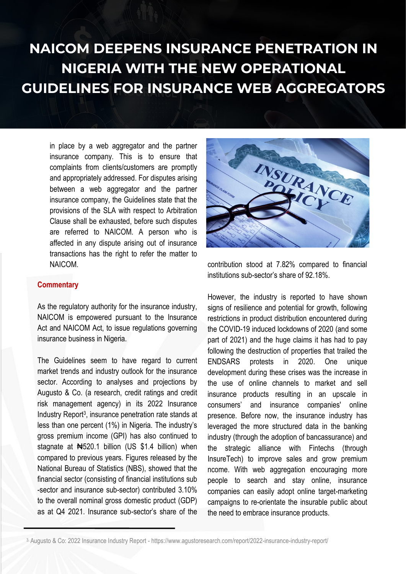in place by a web aggregator and the partner insurance company. This is to ensure that complaints from clients/customers are promptly and appropriately addressed. For disputes arising between a web aggregator and the partner insurance company, the Guidelines state that the provisions of the SLA with respect to Arbitration Clause shall be exhausted, before such disputes are referred to NAICOM. A person who is affected in any dispute arising out of insurance transactions has the right to refer the matter to NAICOM.

#### **Commentary**

As the regulatory authority for the insurance industry, NAICOM is empowered pursuant to the Insurance Act and NAICOM Act, to issue regulations governing insurance business in Nigeria.

The Guidelines seem to have regard to current market trends and industry outlook for the insurance sector. According to analyses and projections by Augusto & Co. (a research, credit ratings and credit risk management agency) in its 2022 Insurance Industry Report<sup>3</sup>, insurance penetration rate stands at less than one percent (1%) in Nigeria. The industry's gross premium income (GPI) has also continued to stagnate at #520.1 billion (US \$1.4 billion) when compared to previous years. Figures released by the National Bureau of Statistics (NBS), showed that the financial sector (consisting of financial institutions sub -sector and insurance sub-sector) contributed 3.10% to the overall nominal gross domestic product (GDP) as at Q4 2021. Insurance sub-sector's share of the



contribution stood at 7.82% compared to financial institutions sub-sector's share of 92.18%.

However, the industry is reported to have shown signs of resilience and potential for growth, following restrictions in product distribution encountered during the COVID-19 induced lockdowns of 2020 (and some part of 2021) and the huge claims it has had to pay following the destruction of properties that trailed the ENDSARS protests in 2020. One unique development during these crises was the increase in the use of online channels to market and sell insurance products resulting in an upscale in consumers' and insurance companies' online presence. Before now, the insurance industry has leveraged the more structured data in the banking industry (through the adoption of bancassurance) and the strategic alliance with Fintechs (through InsureTech) to improve sales and grow premium ncome. With web aggregation encouraging more people to search and stay online, insurance companies can easily adopt online target-marketing campaigns to re-orientate the insurable public about the need to embrace insurance products.

<sup>3.</sup> Augusto & Co: 2022 Insurance Industry Report - https://www.agustoresearch.com/report/2022-insurance-industry-report/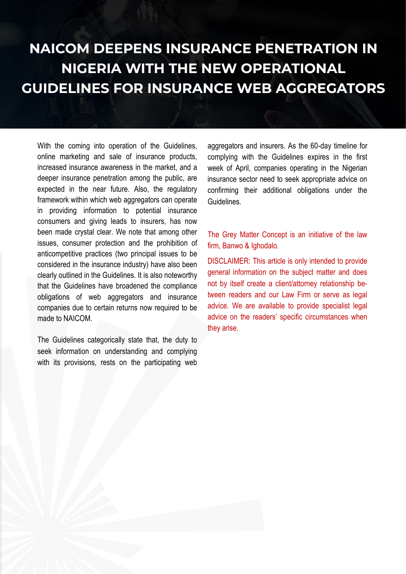With the coming into operation of the Guidelines, online marketing and sale of insurance products, increased insurance awareness in the market, and a deeper insurance penetration among the public, are expected in the near future. Also, the regulatory framework within which web aggregators can operate in providing information to potential insurance consumers and giving leads to insurers, has now been made crystal clear. We note that among other issues, consumer protection and the prohibition of anticompetitive practices (two principal issues to be considered in the insurance industry) have also been clearly outlined in the Guidelines. It is also noteworthy that the Guidelines have broadened the compliance obligations of web aggregators and insurance companies due to certain returns now required to be made to NAICOM

The Guidelines categorically state that, the duty to seek information on understanding and complying with its provisions, rests on the participating web aggregators and insurers. As the 60-day timeline for complying with the Guidelines expires in the first week of April, companies operating in the Nigerian insurance sector need to seek appropriate advice on confirming their additional obligations under the Guidelines.

The Grey Matter Concept is an initiative of the law firm, Banwo & Ighodalo.

DISCLAIMER: This article is only intended to provide general information on the subject matter and does not by itself create a client/attorney relationship between readers and our Law Firm or serve as legal advice. We are available to provide specialist legal advice on the readers' specific circumstances when they arise.